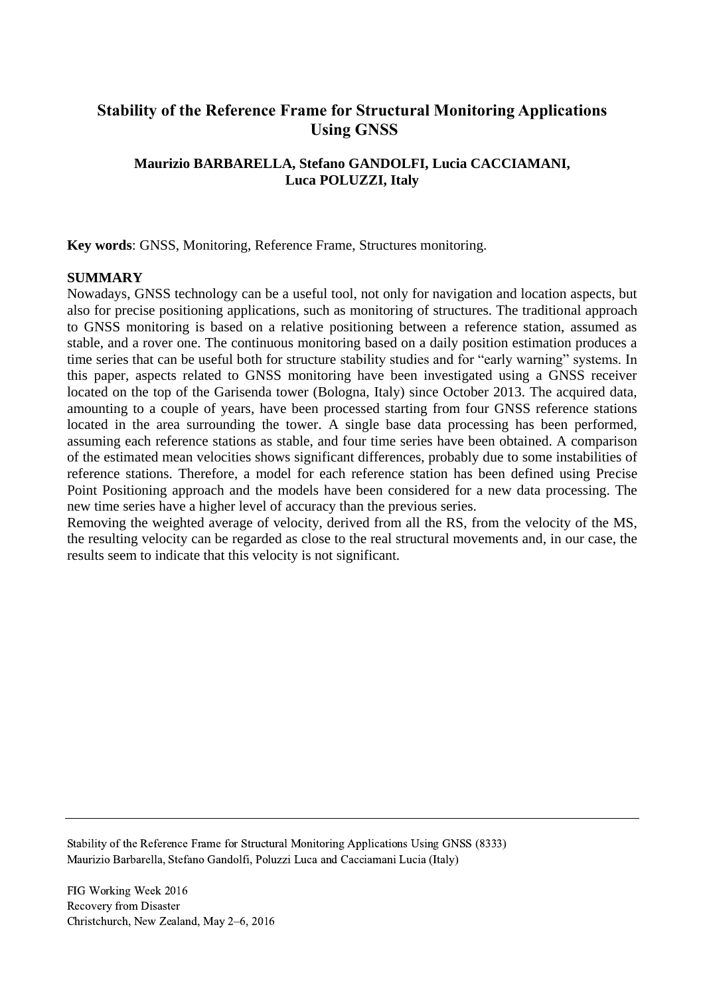# **Stability of the Reference Frame for Structural Monitoring Applications Using GNSS**

## **Maurizio BARBARELLA, Stefano GANDOLFI, Lucia CACCIAMANI, Luca POLUZZI, Italy**

**Key words**: GNSS, Monitoring, Reference Frame, Structures monitoring.

#### **SUMMARY**

Nowadays, GNSS technology can be a useful tool, not only for navigation and location aspects, but also for precise positioning applications, such as monitoring of structures. The traditional approach to GNSS monitoring is based on a relative positioning between a reference station, assumed as stable, and a rover one. The continuous monitoring based on a daily position estimation produces a time series that can be useful both for structure stability studies and for "early warning" systems. In this paper, aspects related to GNSS monitoring have been investigated using a GNSS receiver located on the top of the Garisenda tower (Bologna, Italy) since October 2013. The acquired data, amounting to a couple of years, have been processed starting from four GNSS reference stations located in the area surrounding the tower. A single base data processing has been performed, assuming each reference stations as stable, and four time series have been obtained. A comparison of the estimated mean velocities shows significant differences, probably due to some instabilities of reference stations. Therefore, a model for each reference station has been defined using Precise Point Positioning approach and the models have been considered for a new data processing. The new time series have a higher level of accuracy than the previous series.

Removing the weighted average of velocity, derived from all the RS, from the velocity of the MS, the resulting velocity can be regarded as close to the real structural movements and, in our case, the results seem to indicate that this velocity is not significant.

Stability of the Reference Frame for Structural Monitoring Applications Using GNSS (8333) Maurizio Barbarella, Stefano Gandolfi, Poluzzi Luca and Cacciamani Lucia (Italy)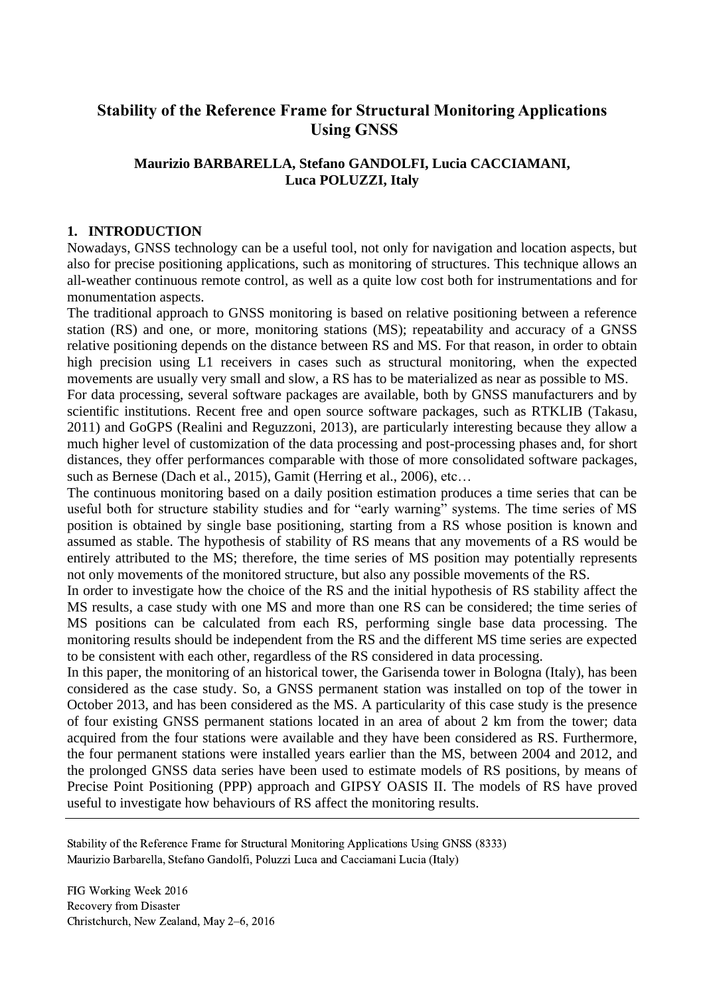# **Stability of the Reference Frame for Structural Monitoring Applications Using GNSS**

## **Maurizio BARBARELLA, Stefano GANDOLFI, Lucia CACCIAMANI, Luca POLUZZI, Italy**

### **1. INTRODUCTION**

Nowadays, GNSS technology can be a useful tool, not only for navigation and location aspects, but also for precise positioning applications, such as monitoring of structures. This technique allows an all-weather continuous remote control, as well as a quite low cost both for instrumentations and for monumentation aspects.

The traditional approach to GNSS monitoring is based on relative positioning between a reference station (RS) and one, or more, monitoring stations (MS); repeatability and accuracy of a GNSS relative positioning depends on the distance between RS and MS. For that reason, in order to obtain high precision using L1 receivers in cases such as structural monitoring, when the expected movements are usually very small and slow, a RS has to be materialized as near as possible to MS.

For data processing, several software packages are available, both by GNSS manufacturers and by scientific institutions. Recent free and open source software packages, such as RTKLIB (Takasu, 2011) and GoGPS (Realini and Reguzzoni, 2013), are particularly interesting because they allow a much higher level of customization of the data processing and post-processing phases and, for short distances, they offer performances comparable with those of more consolidated software packages, such as Bernese (Dach et al., 2015), Gamit (Herring et al., 2006), etc…

The continuous monitoring based on a daily position estimation produces a time series that can be useful both for structure stability studies and for "early warning" systems. The time series of MS position is obtained by single base positioning, starting from a RS whose position is known and assumed as stable. The hypothesis of stability of RS means that any movements of a RS would be entirely attributed to the MS; therefore, the time series of MS position may potentially represents not only movements of the monitored structure, but also any possible movements of the RS.

In order to investigate how the choice of the RS and the initial hypothesis of RS stability affect the MS results, a case study with one MS and more than one RS can be considered; the time series of MS positions can be calculated from each RS, performing single base data processing. The monitoring results should be independent from the RS and the different MS time series are expected to be consistent with each other, regardless of the RS considered in data processing.

In this paper, the monitoring of an historical tower, the Garisenda tower in Bologna (Italy), has been considered as the case study. So, a GNSS permanent station was installed on top of the tower in October 2013, and has been considered as the MS. A particularity of this case study is the presence of four existing GNSS permanent stations located in an area of about 2 km from the tower; data acquired from the four stations were available and they have been considered as RS. Furthermore, the four permanent stations were installed years earlier than the MS, between 2004 and 2012, and the prolonged GNSS data series have been used to estimate models of RS positions, by means of Precise Point Positioning (PPP) approach and GIPSY OASIS II. The models of RS have proved useful to investigate how behaviours of RS affect the monitoring results.

Stability of the Reference Frame for Structural Monitoring Applications Using GNSS (8333) Maurizio Barbarella, Stefano Gandolfi, Poluzzi Luca and Cacciamani Lucia (Italy)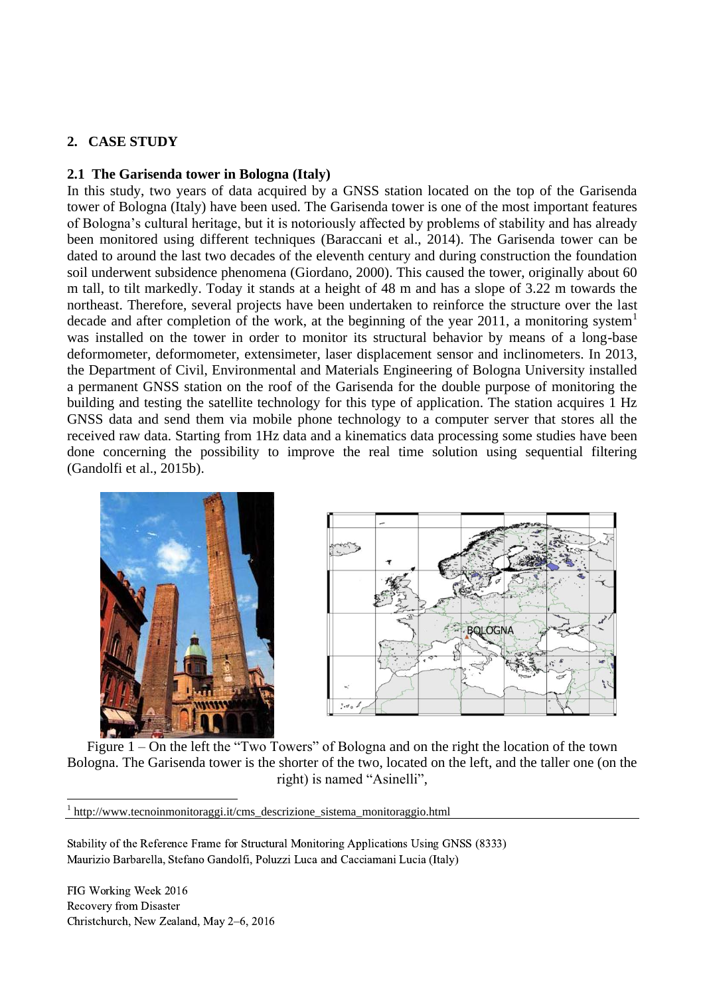## **2. CASE STUDY**

#### **2.1 The Garisenda tower in Bologna (Italy)**

In this study, two years of data acquired by a GNSS station located on the top of the Garisenda tower of Bologna (Italy) have been used. The Garisenda tower is one of the most important features of Bologna's cultural heritage, but it is notoriously affected by problems of stability and has already been monitored using different techniques (Baraccani et al., 2014). The Garisenda tower can be dated to around the last two decades of the eleventh century and during construction the foundation soil underwent subsidence phenomena (Giordano, 2000). This caused the tower, originally about 60 m tall, to tilt markedly. Today it stands at a height of 48 m and has a slope of 3.22 m towards the northeast. Therefore, several projects have been undertaken to reinforce the structure over the last decade and after completion of the work, at the beginning of the year 2011, a monitoring system<sup>1</sup> was installed on the tower in order to monitor its structural behavior by means of a long-base deformometer, deformometer, extensimeter, laser displacement sensor and inclinometers. In 2013, the Department of Civil, Environmental and Materials Engineering of Bologna University installed a permanent GNSS station on the roof of the Garisenda for the double purpose of monitoring the building and testing the satellite technology for this type of application. The station acquires 1 Hz GNSS data and send them via mobile phone technology to a computer server that stores all the received raw data. Starting from 1Hz data and a kinematics data processing some studies have been done concerning the possibility to improve the real time solution using sequential filtering (Gandolfi et al., 2015b).





Figure 1 – On the left the "Two Towers" of Bologna and on the right the location of the town Bologna. The Garisenda tower is the shorter of the two, located on the left, and the taller one (on the right) is named "Asinelli",

<sup>1</sup> http://www.tecnoinmonitoraggi.it/cms\_descrizione\_sistema\_monitoraggio.html

Stability of the Reference Frame for Structural Monitoring Applications Using GNSS (8333) Maurizio Barbarella, Stefano Gandolfi, Poluzzi Luca and Cacciamani Lucia (Italy)

FIG Working Week 2016 Recovery from Disaster Christchurch, New Zealand, May 2–6, 2016

 $\overline{a}$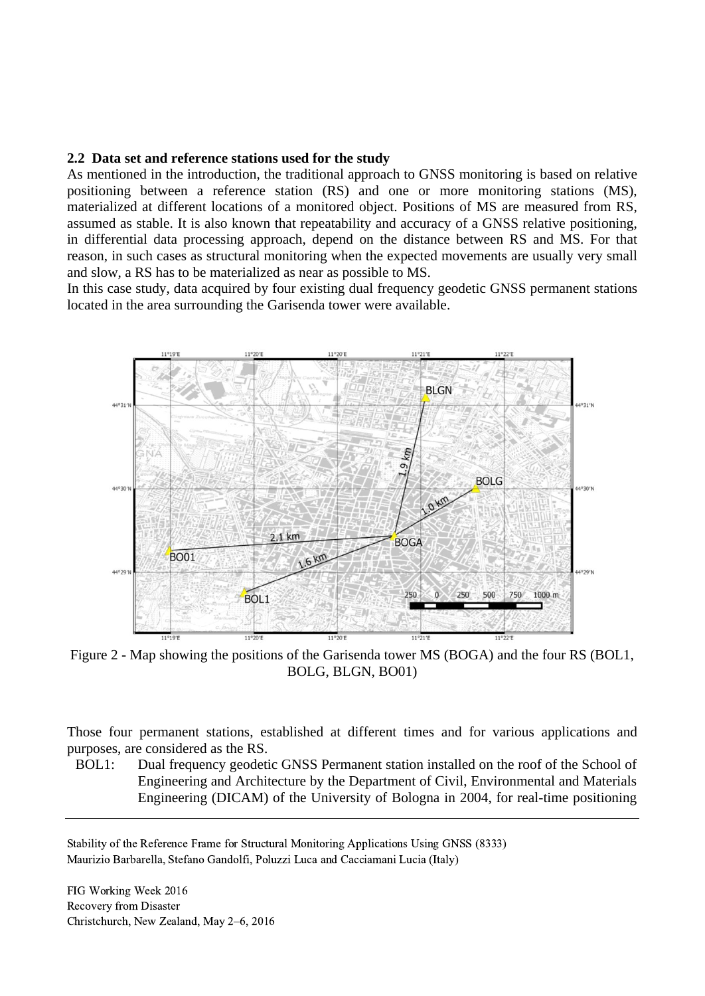#### **2.2 Data set and reference stations used for the study**

As mentioned in the introduction, the traditional approach to GNSS monitoring is based on relative positioning between a reference station (RS) and one or more monitoring stations (MS), materialized at different locations of a monitored object. Positions of MS are measured from RS, assumed as stable. It is also known that repeatability and accuracy of a GNSS relative positioning, in differential data processing approach, depend on the distance between RS and MS. For that reason, in such cases as structural monitoring when the expected movements are usually very small and slow, a RS has to be materialized as near as possible to MS.

In this case study, data acquired by four existing dual frequency geodetic GNSS permanent stations located in the area surrounding the Garisenda tower were available.



<span id="page-3-0"></span>Figure 2 - Map showing the positions of the Garisenda tower MS (BOGA) and the four RS (BOL1, BOLG, BLGN, BO01)

Those four permanent stations, established at different times and for various applications and purposes, are considered as the RS.

BOL1: Dual frequency geodetic GNSS Permanent station installed on the roof of the School of Engineering and Architecture by the Department of Civil, Environmental and Materials Engineering (DICAM) of the University of Bologna in 2004, for real-time positioning

Stability of the Reference Frame for Structural Monitoring Applications Using GNSS (8333) Maurizio Barbarella, Stefano Gandolfi, Poluzzi Luca and Cacciamani Lucia (Italy)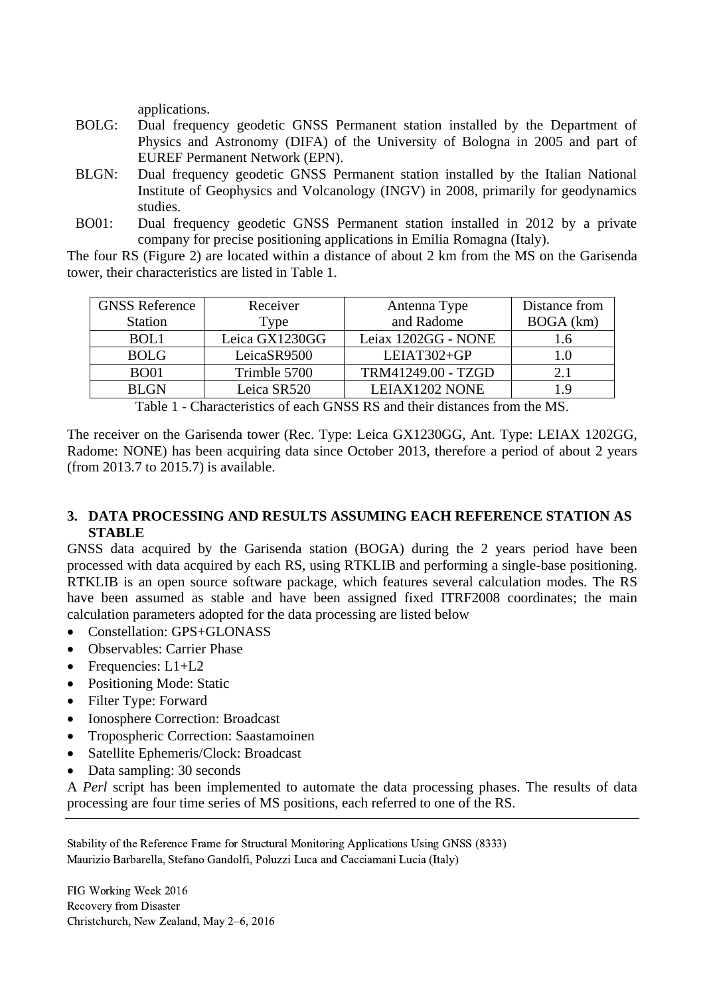applications.

- BOLG: Dual frequency geodetic GNSS Permanent station installed by the Department of Physics and Astronomy (DIFA) of the University of Bologna in 2005 and part of EUREF Permanent Network (EPN).
- BLGN: Dual frequency geodetic GNSS Permanent station installed by the Italian National Institute of Geophysics and Volcanology (INGV) in 2008, primarily for geodynamics studies.
- BO01: Dual frequency geodetic GNSS Permanent station installed in 2012 by a private company for precise positioning applications in Emilia Romagna (Italy).

The four RS [\(Figure 2\)](#page-3-0) are located within a distance of about 2 km from the MS on the Garisenda tower, their characteristics are listed in [Table 1.](#page-4-0)

| <b>GNSS Reference</b> | Receiver       | Antenna Type        | Distance from |
|-----------------------|----------------|---------------------|---------------|
| <b>Station</b>        | Type           | and Radome          | BOGA (km)     |
| BOL1                  | Leica GX1230GG | Leiax 1202GG - NONE | l.6           |
| <b>BOLG</b>           | LeicaSR9500    | LEIAT302+GP         |               |
| <b>BO01</b>           | Trimble 5700   | TRM41249.00 - TZGD  | 2.1           |
| <b>BLGN</b>           | Leica SR520    | LEIAX1202 NONE      |               |

Table 1 - Characteristics of each GNSS RS and their distances from the MS.

<span id="page-4-0"></span>The receiver on the Garisenda tower (Rec. Type: Leica GX1230GG, Ant. Type: LEIAX 1202GG, Radome: NONE) has been acquiring data since October 2013, therefore a period of about 2 years (from 2013.7 to 2015.7) is available.

### **3. DATA PROCESSING AND RESULTS ASSUMING EACH REFERENCE STATION AS STABLE**

GNSS data acquired by the Garisenda station (BOGA) during the 2 years period have been processed with data acquired by each RS, using RTKLIB and performing a single-base positioning. RTKLIB is an open source software package, which features several calculation modes. The RS have been assumed as stable and have been assigned fixed ITRF2008 coordinates; the main calculation parameters adopted for the data processing are listed below

- Constellation: GPS+GLONASS
- Observables: Carrier Phase
- Frequencies: L1+L2
- Positioning Mode: Static
- Filter Type: Forward
- Ionosphere Correction: Broadcast
- Tropospheric Correction: Saastamoinen
- Satellite Ephemeris/Clock: Broadcast
- Data sampling: 30 seconds

A *Perl* script has been implemented to automate the data processing phases. The results of data processing are four time series of MS positions, each referred to one of the RS.

Stability of the Reference Frame for Structural Monitoring Applications Using GNSS (8333) Maurizio Barbarella, Stefano Gandolfi, Poluzzi Luca and Cacciamani Lucia (Italy)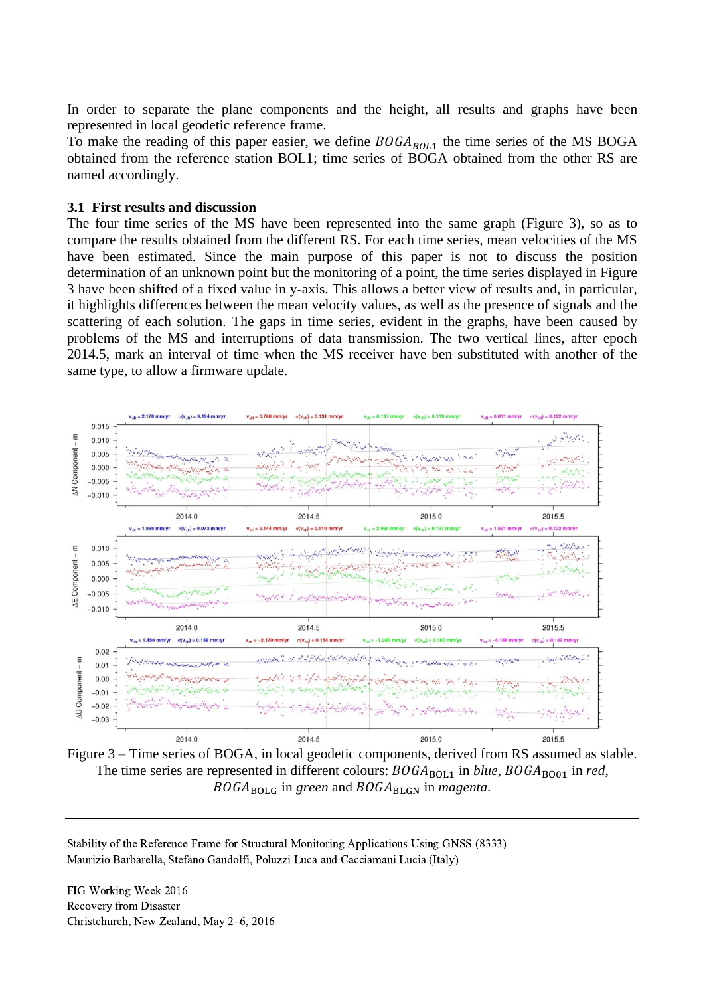In order to separate the plane components and the height, all results and graphs have been represented in local geodetic reference frame.

To make the reading of this paper easier, we define  $BOGA_{BOL1}$  the time series of the MS BOGA obtained from the reference station BOL1; time series of BOGA obtained from the other RS are named accordingly.

#### **3.1 First results and discussion**

The four time series of the MS have been represented into the same graph [\(Figure 3\)](#page-5-0), so as to compare the results obtained from the different RS. For each time series, mean velocities of the MS have been estimated. Since the main purpose of this paper is not to discuss the position determination of an unknown point but the monitoring of a point, the time series displayed in [Figure](#page-5-0)  [3](#page-5-0) have been shifted of a fixed value in y-axis. This allows a better view of results and, in particular, it highlights differences between the mean velocity values, as well as the presence of signals and the scattering of each solution. The gaps in time series, evident in the graphs, have been caused by problems of the MS and interruptions of data transmission. The two vertical lines, after epoch 2014.5, mark an interval of time when the MS receiver have ben substituted with another of the same type, to allow a firmware update.



<span id="page-5-0"></span>Figure 3 – Time series of BOGA, in local geodetic components, derived from RS assumed as stable. The time series are represented in different colours:  $BOGA_{BOL1}$  in *blue*,  $BOGA_{BOO1}$  in *red*, BOGA<sub>BOLG</sub> in green and BOGA<sub>BLGN</sub> in *magenta*.

Stability of the Reference Frame for Structural Monitoring Applications Using GNSS (8333) Maurizio Barbarella, Stefano Gandolfi, Poluzzi Luca and Cacciamani Lucia (Italy)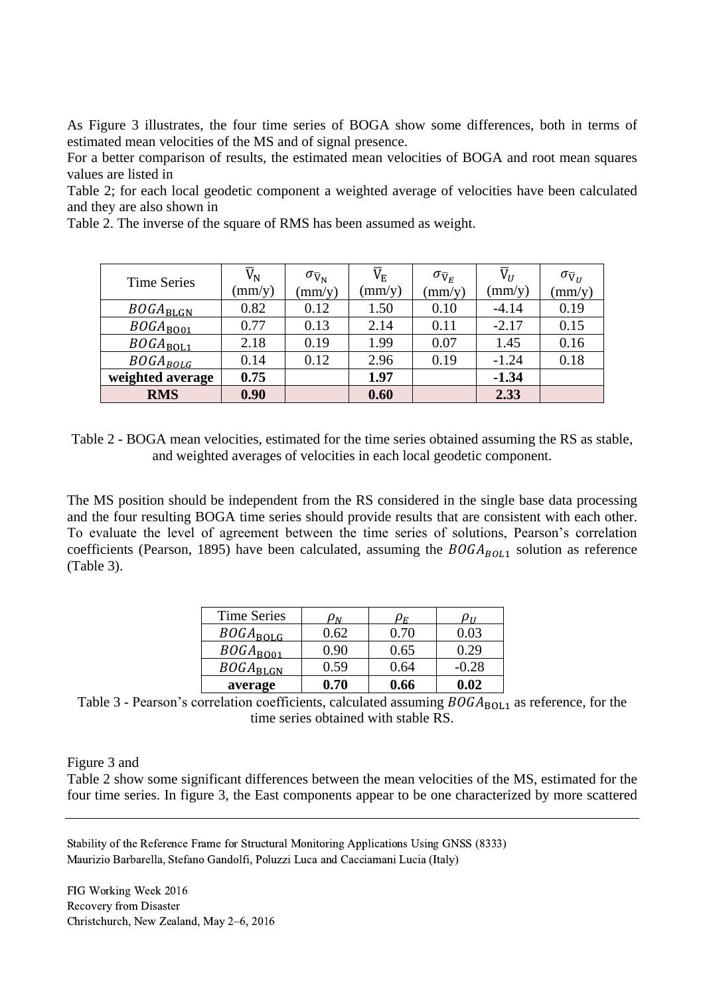As [Figure 3](#page-5-0) illustrates, the four time series of BOGA show some differences, both in terms of estimated mean velocities of the MS and of signal presence.

For a better comparison of results, the estimated mean velocities of BOGA and root mean squares values are listed in

[Table](#page-6-0) 2; for each local geodetic component a weighted average of velocities have been calculated and they are also shown in

[Table](#page-6-0) 2. The inverse of the square of RMS has been assumed as weight.

| <b>Time Series</b> | $\overline{\text{V}}_{\text{N}}$<br>(mm/y) | $\sigma_{\bar{V}_{N}}$<br>$\text{mm/y}$ | $\rm \overline{V}_{E}$<br>$\text{mm/y}$ | $\sigma_{\overline{V}_E}$<br>$\rm (mm/y)$ | $\overline{\mathrm{V}}_U$<br>$\rm (mm/y)$ | $\sigma_{\bar{V}_U}$<br>$\text{mm/y}$ |
|--------------------|--------------------------------------------|-----------------------------------------|-----------------------------------------|-------------------------------------------|-------------------------------------------|---------------------------------------|
| $BOGA_{\rm BLGN}$  | 0.82                                       | 0.12                                    | 1.50                                    | 0.10                                      | $-4.14$                                   | 0.19                                  |
| $BOGA_{BO01}$      | 0.77                                       | 0.13                                    | 2.14                                    | 0.11                                      | $-2.17$                                   | 0.15                                  |
| $BOGA_{BOL1}$      | 2.18                                       | 0.19                                    | 1.99                                    | 0.07                                      | 1.45                                      | 0.16                                  |
| $BOGA_{BOLG}$      | 0.14                                       | 0.12                                    | 2.96                                    | 0.19                                      | $-1.24$                                   | 0.18                                  |
| weighted average   | 0.75                                       |                                         | 1.97                                    |                                           | $-1.34$                                   |                                       |
| <b>RMS</b>         | 0.90                                       |                                         | 0.60                                    |                                           | 2.33                                      |                                       |

<span id="page-6-0"></span>Table 2 - BOGA mean velocities, estimated for the time series obtained assuming the RS as stable, and weighted averages of velocities in each local geodetic component.

The MS position should be independent from the RS considered in the single base data processing and the four resulting BOGA time series should provide results that are consistent with each other. To evaluate the level of agreement between the time series of solutions, Pearson's correlation coefficients (Pearson, 1895) have been calculated, assuming the  $BOGA_{BOL1}$  solution as reference [\(Table 3\)](#page-6-1).

| <b>Time Series</b> | $\rho_N$ | $\mu_E$ | U11     |
|--------------------|----------|---------|---------|
| $BOGA_{\rm BOLG}$  | 0.62     | 0.70    | 0.03    |
| $BOGA_{BO01}$      | 0.90     | 0.65    | 0.29    |
| $BOGA_{BLGN}$      | 0.59     | 0.64    | $-0.28$ |
| average            | 0.70     | 0.66    | 0.02    |

<span id="page-6-1"></span>Table 3 - Pearson's correlation coefficients, calculated assuming  $BOGA_{BOL1}$  as reference, for the time series obtained with stable RS.

[Figure 3](#page-5-0) and

[Table](#page-6-0) 2 show some significant differences between the mean velocities of the MS, estimated for the four time series. In figure 3, the East components appear to be one characterized by more scattered

Stability of the Reference Frame for Structural Monitoring Applications Using GNSS (8333) Maurizio Barbarella, Stefano Gandolfi, Poluzzi Luca and Cacciamani Lucia (Italy)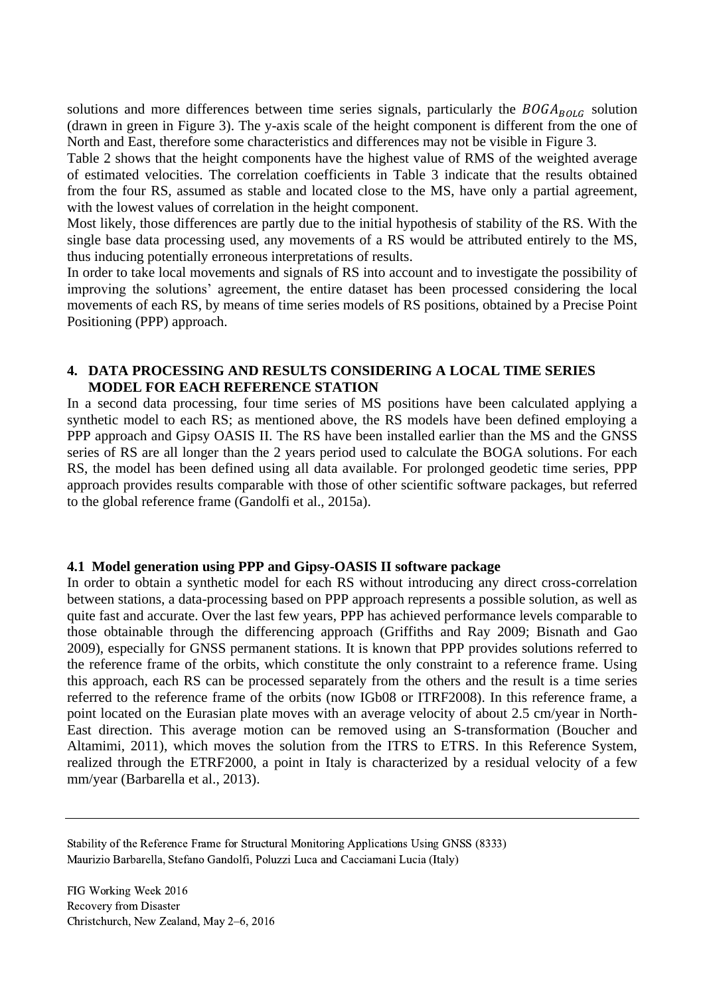solutions and more differences between time series signals, particularly the  $BOGA_{BOLG}$  solution (drawn in green in [Figure 3\)](#page-5-0). The y-axis scale of the height component is different from the one of North and East, therefore some characteristics and differences may not be visible in [Figure 3.](#page-5-0)

[Table](#page-6-0) 2 shows that the height components have the highest value of RMS of the weighted average of estimated velocities. The correlation coefficients in [Table 3](#page-6-1) indicate that the results obtained from the four RS, assumed as stable and located close to the MS, have only a partial agreement, with the lowest values of correlation in the height component.

Most likely, those differences are partly due to the initial hypothesis of stability of the RS. With the single base data processing used, any movements of a RS would be attributed entirely to the MS, thus inducing potentially erroneous interpretations of results.

In order to take local movements and signals of RS into account and to investigate the possibility of improving the solutions' agreement, the entire dataset has been processed considering the local movements of each RS, by means of time series models of RS positions, obtained by a Precise Point Positioning (PPP) approach.

## **4. DATA PROCESSING AND RESULTS CONSIDERING A LOCAL TIME SERIES MODEL FOR EACH REFERENCE STATION**

In a second data processing, four time series of MS positions have been calculated applying a synthetic model to each RS; as mentioned above, the RS models have been defined employing a PPP approach and Gipsy OASIS II. The RS have been installed earlier than the MS and the GNSS series of RS are all longer than the 2 years period used to calculate the BOGA solutions. For each RS, the model has been defined using all data available. For prolonged geodetic time series, PPP approach provides results comparable with those of other scientific software packages, but referred to the global reference frame (Gandolfi et al., 2015a).

#### <span id="page-7-0"></span>**4.1 Model generation using PPP and Gipsy-OASIS II software package**

In order to obtain a synthetic model for each RS without introducing any direct cross-correlation between stations, a data-processing based on PPP approach represents a possible solution, as well as quite fast and accurate. Over the last few years, PPP has achieved performance levels comparable to those obtainable through the differencing approach (Griffiths and Ray 2009; Bisnath and Gao 2009), especially for GNSS permanent stations. It is known that PPP provides solutions referred to the reference frame of the orbits, which constitute the only constraint to a reference frame. Using this approach, each RS can be processed separately from the others and the result is a time series referred to the reference frame of the orbits (now IGb08 or ITRF2008). In this reference frame, a point located on the Eurasian plate moves with an average velocity of about 2.5 cm/year in North-East direction. This average motion can be removed using an S-transformation (Boucher and Altamimi, 2011), which moves the solution from the ITRS to ETRS. In this Reference System, realized through the ETRF2000, a point in Italy is characterized by a residual velocity of a few mm/year (Barbarella et al., 2013).

Stability of the Reference Frame for Structural Monitoring Applications Using GNSS (8333) Maurizio Barbarella, Stefano Gandolfi, Poluzzi Luca and Cacciamani Lucia (Italy)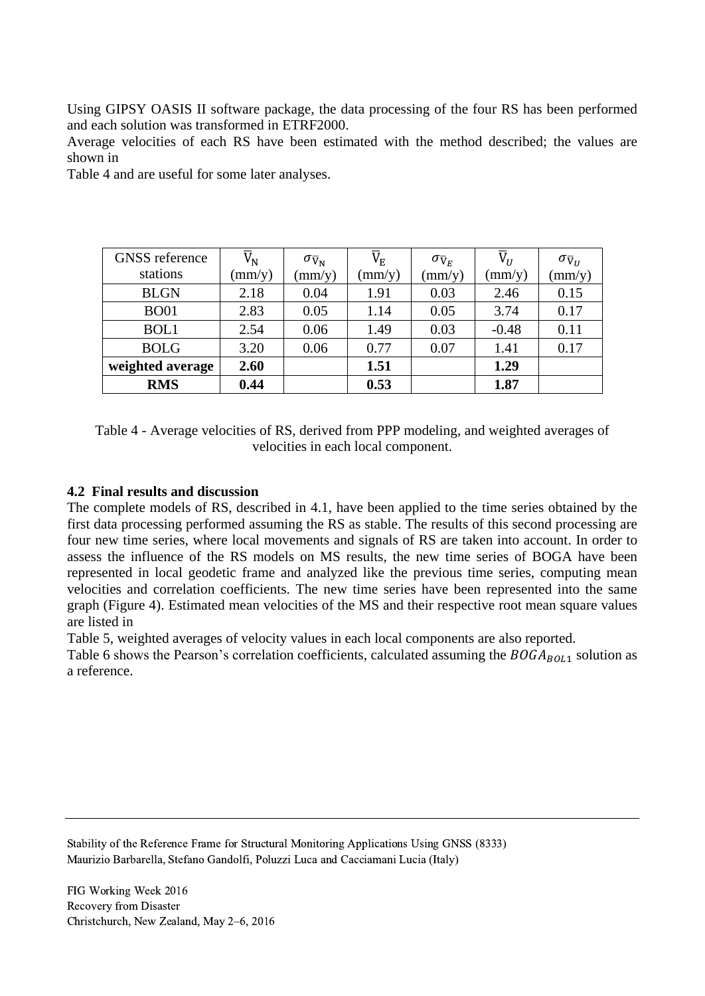Using GIPSY OASIS II software package, the data processing of the four RS has been performed and each solution was transformed in ETRF2000.

Average velocities of each RS have been estimated with the method described; the values are shown in

[Table](#page-8-0) 4 and are useful for some later analyses.

| <b>GNSS</b> reference | $\overline{\mathtt{V}}_\textnormal{N}$ | $\sigma_{\bar{V}_{N}}$ | $\rm \overline{V}_{E}$ | $\sigma_{\overline{V}_E}$ | $\overline{V}_U$ | $\sigma_{\bar{V}_U}$ |
|-----------------------|----------------------------------------|------------------------|------------------------|---------------------------|------------------|----------------------|
| stations              | $\text{(mm/y)}$                        | $\text{(mm/y)}$        | $\rm (mm/y)$           | $\text{(mm/y)}$           | (mm/y)           | $\text{(mm/y)}$      |
| <b>BLGN</b>           | 2.18                                   | 0.04                   | 1.91                   | 0.03                      | 2.46             | 0.15                 |
| <b>BO01</b>           | 2.83                                   | 0.05                   | 1.14                   | 0.05                      | 3.74             | 0.17                 |
| BOL1                  | 2.54                                   | 0.06                   | 1.49                   | 0.03                      | $-0.48$          | 0.11                 |
| <b>BOLG</b>           | 3.20                                   | 0.06                   | 0.77                   | 0.07                      | 1.41             | 0.17                 |
| weighted average      | 2.60                                   |                        | 1.51                   |                           | 1.29             |                      |
| <b>RMS</b>            | 0.44                                   |                        | 0.53                   |                           | 1.87             |                      |

<span id="page-8-0"></span>Table 4 - Average velocities of RS, derived from PPP modeling, and weighted averages of velocities in each local component.

## **4.2 Final results and discussion**

The complete models of RS, described in [4.1,](#page-7-0) have been applied to the time series obtained by the first data processing performed assuming the RS as stable. The results of this second processing are four new time series, where local movements and signals of RS are taken into account. In order to assess the influence of the RS models on MS results, the new time series of BOGA have been represented in local geodetic frame and analyzed like the previous time series, computing mean velocities and correlation coefficients. The new time series have been represented into the same graph [\(Figure 4\)](#page-9-0). Estimated mean velocities of the MS and their respective root mean square values are listed in

[Table](#page-9-1) 5, weighted averages of velocity values in each local components are also reported.

[Table](#page-10-0) 6 shows the Pearson's correlation coefficients, calculated assuming the  $BOGA_{BOL1}$  solution as a reference.

Stability of the Reference Frame for Structural Monitoring Applications Using GNSS (8333) Maurizio Barbarella, Stefano Gandolfi, Poluzzi Luca and Cacciamani Lucia (Italy)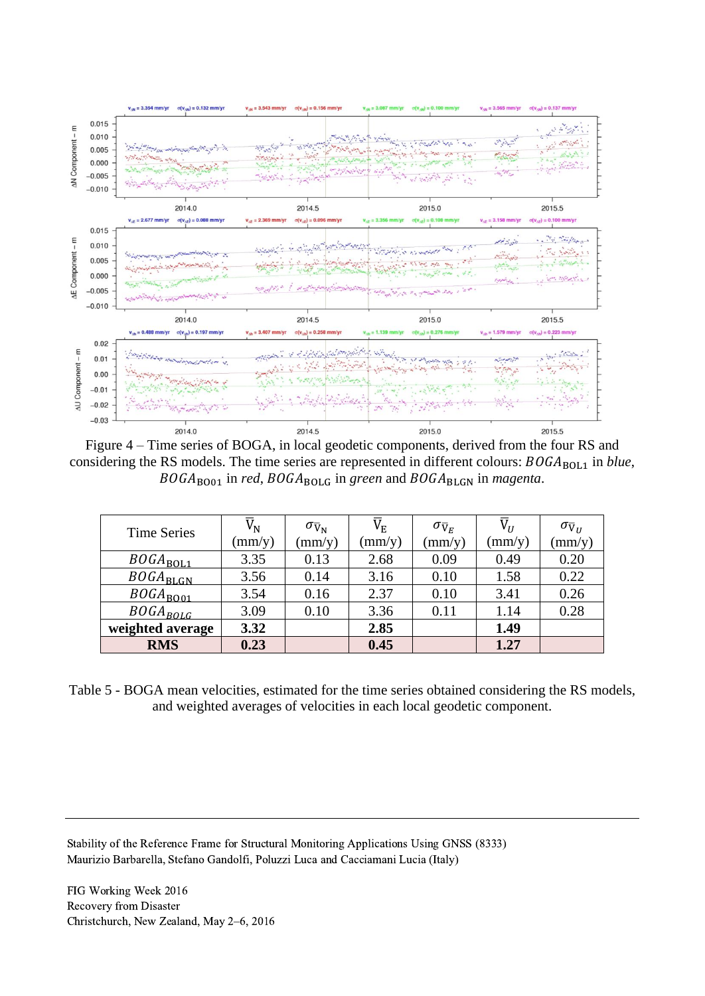

<span id="page-9-0"></span>Figure 4 – Time series of BOGA, in local geodetic components, derived from the four RS and considering the RS models. The time series are represented in different colours:  $BOGA_{BOL1}$  in *blue*, BOGA<sub>BO01</sub> in *red*, BOGA<sub>BOLG</sub> in green and BOGA<sub>BLGN</sub> in *magenta*.

| <b>Time Series</b>   | $\overline{V}_{N}$ | $\sigma_{\rm \overline{V}_{N}}$ | $\rm V_E$       | $\sigma_{\overline{V}_E}$ | $\overline{V}_{U}$ | $\sigma_{\bar{V}_{II}}$ |
|----------------------|--------------------|---------------------------------|-----------------|---------------------------|--------------------|-------------------------|
|                      | (mm/y)             | $\text{mm/y}$                   | $\text{(mm/y)}$ | $\text{(mm/y)}$           | $\text{mm/y}$      | $\text{(mm/y)}$         |
| $BOGA_{BOL1}$        | 3.35               | 0.13                            | 2.68            | 0.09                      | 0.49               | 0.20                    |
| $BOGA_{BLGN}$        | 3.56               | 0.14                            | 3.16            | 0.10                      | 1.58               | 0.22                    |
| $BOGA_{\text{B001}}$ | 3.54               | 0.16                            | 2.37            | 0.10                      | 3.41               | 0.26                    |
| $BOGA_{BOLG}$        | 3.09               | 0.10                            | 3.36            | 0.11                      | 1.14               | 0.28                    |
| weighted average     | 3.32               |                                 | 2.85            |                           | 1.49               |                         |
| <b>RMS</b>           | 0.23               |                                 | 0.45            |                           | 1.27               |                         |

<span id="page-9-1"></span>Table 5 - BOGA mean velocities, estimated for the time series obtained considering the RS models, and weighted averages of velocities in each local geodetic component.

Stability of the Reference Frame for Structural Monitoring Applications Using GNSS (8333) Maurizio Barbarella, Stefano Gandolfi, Poluzzi Luca and Cacciamani Lucia (Italy)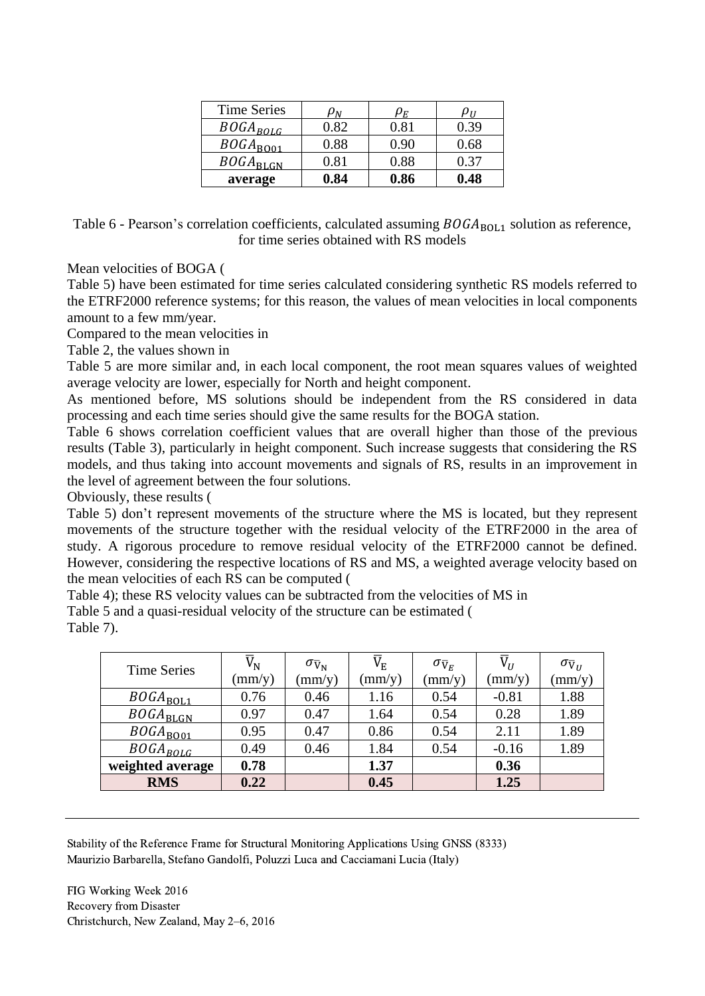| <b>Time Series</b> | Uм         | υF   | זוע  |
|--------------------|------------|------|------|
| $BOGA_{BOLG}$      | 0.82       | 0.81 | 0.39 |
| $BOGA_{BO01}$      | 0.88       | 0.90 | 0.68 |
| $BOGA_{\rm BLGN}$  | $\rm 0.81$ | 0.88 | 0.37 |
| average            | 0.84       | 0.86 | 0.48 |

<span id="page-10-0"></span>Table 6 - Pearson's correlation coefficients, calculated assuming  $BOGA_{BOL1}$  solution as reference, for time series obtained with RS models

Mean velocities of BOGA [\(](#page-9-1)

[Table](#page-9-1) 5) have been estimated for time series calculated considering synthetic RS models referred to the ETRF2000 reference systems; for this reason, the values of mean velocities in local components amount to a few mm/year.

Compared to the mean velocities in

[Table](#page-6-0) 2, the values shown in

[Table](#page-9-1) 5 are more similar and, in each local component, the root mean squares values of weighted average velocity are lower, especially for North and height component.

As mentioned before, MS solutions should be independent from the RS considered in data processing and each time series should give the same results for the BOGA station.

[Table](#page-10-0) 6 shows correlation coefficient values that are overall higher than those of the previous results [\(Table 3\)](#page-6-1), particularly in height component. Such increase suggests that considering the RS models, and thus taking into account movements and signals of RS, results in an improvement in the level of agreement between the four solutions.

Obviously, these results [\(](#page-9-1)

[Table](#page-9-1) 5) don't represent movements of the structure where the MS is located, but they represent movements of the structure together with the residual velocity of the ETRF2000 in the area of study. A rigorous procedure to remove residual velocity of the ETRF2000 cannot be defined. However, considering the respective locations of RS and MS, a weighted average velocity based on the mean velocities of each RS can be computed [\(](#page-8-0)

[Table](#page-8-0) 4); these RS velocity values can be subtracted from the velocities of MS in [Table](#page-9-1) 5 and a quasi-residual velocity of the structure can be estimated [\(](#page-10-1)

[Table](#page-10-1) 7).

| <b>Time Series</b> | $\overline{\text{V}}_{\text{N}}$<br>$\text{(mm/y)}$ | $\sigma_{\rm \bar{V}_{N}}$<br>$\text{mm/y}$ | $\rm \overline{V}_{E}$<br>$\text{(mm/y)}$ | $\sigma_{\overline{V}_E}$<br>$\text{mm/y}$ | $\overline{V}_{II}$<br>$\text{mm/y}$ | $\sigma_{\bar{V}_{II}}$<br>$\text{mm/y}$ |
|--------------------|-----------------------------------------------------|---------------------------------------------|-------------------------------------------|--------------------------------------------|--------------------------------------|------------------------------------------|
|                    |                                                     |                                             |                                           |                                            |                                      |                                          |
| $BOGA_{BOL1}$      | 0.76                                                | 0.46                                        | 1.16                                      | 0.54                                       | $-0.81$                              | 1.88                                     |
| $BOGA_{\rm BLGN}$  | 0.97                                                | 0.47                                        | 1.64                                      | 0.54                                       | 0.28                                 | 1.89                                     |
| $BOGA_{BO01}$      | 0.95                                                | 0.47                                        | 0.86                                      | 0.54                                       | 2.11                                 | 1.89                                     |
| $BOGA_{BOLG}$      | 0.49                                                | 0.46                                        | 1.84                                      | 0.54                                       | $-0.16$                              | 1.89                                     |
| weighted average   | 0.78                                                |                                             | 1.37                                      |                                            | 0.36                                 |                                          |
| <b>RMS</b>         | 0.22                                                |                                             | 0.45                                      |                                            | 1.25                                 |                                          |

<span id="page-10-1"></span>Stability of the Reference Frame for Structural Monitoring Applications Using GNSS (8333) Maurizio Barbarella, Stefano Gandolfi, Poluzzi Luca and Cacciamani Lucia (Italy)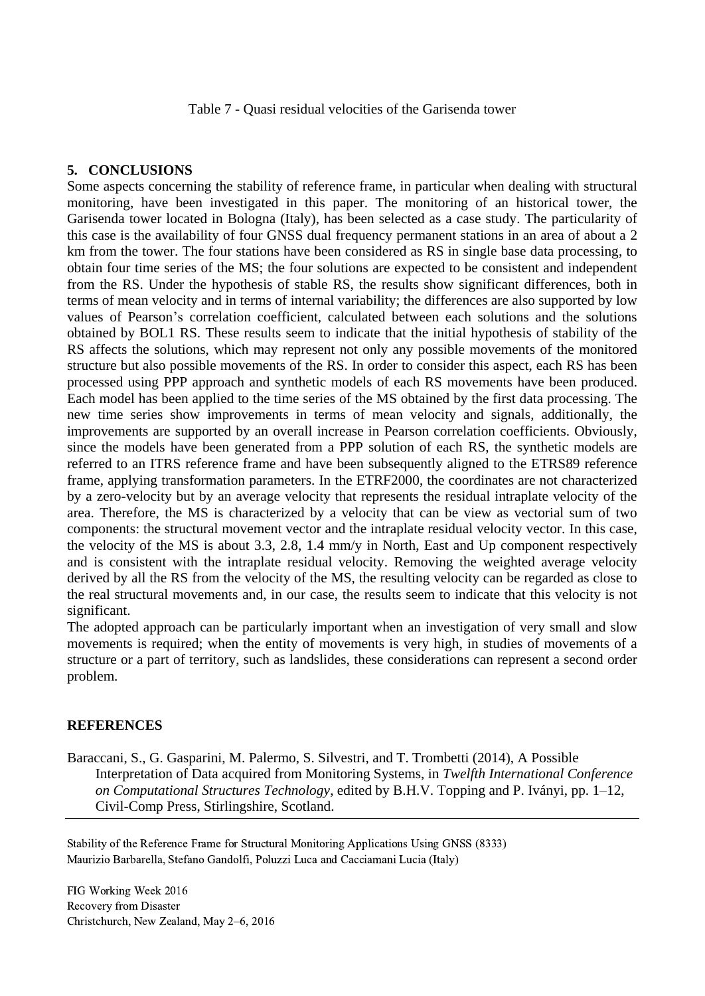Table 7 - Quasi residual velocities of the Garisenda tower

## **5. CONCLUSIONS**

Some aspects concerning the stability of reference frame, in particular when dealing with structural monitoring, have been investigated in this paper. The monitoring of an historical tower, the Garisenda tower located in Bologna (Italy), has been selected as a case study. The particularity of this case is the availability of four GNSS dual frequency permanent stations in an area of about a 2 km from the tower. The four stations have been considered as RS in single base data processing, to obtain four time series of the MS; the four solutions are expected to be consistent and independent from the RS. Under the hypothesis of stable RS, the results show significant differences, both in terms of mean velocity and in terms of internal variability; the differences are also supported by low values of Pearson's correlation coefficient, calculated between each solutions and the solutions obtained by BOL1 RS. These results seem to indicate that the initial hypothesis of stability of the RS affects the solutions, which may represent not only any possible movements of the monitored structure but also possible movements of the RS. In order to consider this aspect, each RS has been processed using PPP approach and synthetic models of each RS movements have been produced. Each model has been applied to the time series of the MS obtained by the first data processing. The new time series show improvements in terms of mean velocity and signals, additionally, the improvements are supported by an overall increase in Pearson correlation coefficients. Obviously, since the models have been generated from a PPP solution of each RS, the synthetic models are referred to an ITRS reference frame and have been subsequently aligned to the ETRS89 reference frame, applying transformation parameters. In the ETRF2000, the coordinates are not characterized by a zero-velocity but by an average velocity that represents the residual intraplate velocity of the area. Therefore, the MS is characterized by a velocity that can be view as vectorial sum of two components: the structural movement vector and the intraplate residual velocity vector. In this case, the velocity of the MS is about 3.3, 2.8, 1.4 mm/y in North, East and Up component respectively and is consistent with the intraplate residual velocity. Removing the weighted average velocity derived by all the RS from the velocity of the MS, the resulting velocity can be regarded as close to the real structural movements and, in our case, the results seem to indicate that this velocity is not significant.

The adopted approach can be particularly important when an investigation of very small and slow movements is required; when the entity of movements is very high, in studies of movements of a structure or a part of territory, such as landslides, these considerations can represent a second order problem.

#### **REFERENCES**

Baraccani, S., G. Gasparini, M. Palermo, S. Silvestri, and T. Trombetti (2014), A Possible Interpretation of Data acquired from Monitoring Systems, in *Twelfth International Conference on Computational Structures Technology*, edited by B.H.V. Topping and P. Iványi, pp. 1–12, Civil-Comp Press, Stirlingshire, Scotland.

Stability of the Reference Frame for Structural Monitoring Applications Using GNSS (8333) Maurizio Barbarella, Stefano Gandolfi, Poluzzi Luca and Cacciamani Lucia (Italy)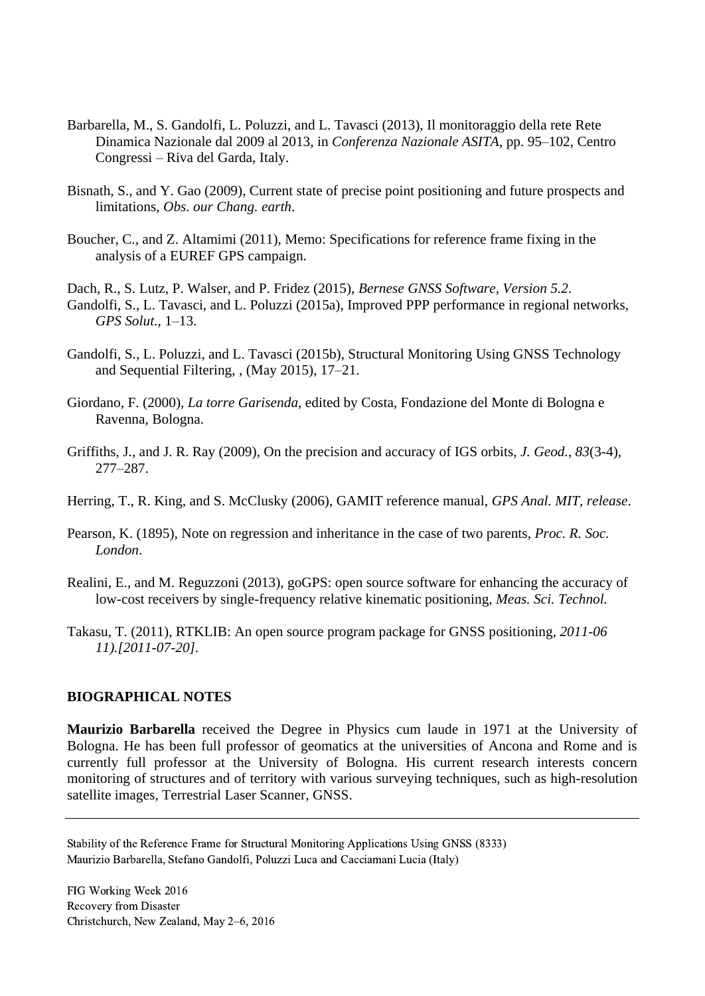- Barbarella, M., S. Gandolfi, L. Poluzzi, and L. Tavasci (2013), Il monitoraggio della rete Rete Dinamica Nazionale dal 2009 al 2013, in *Conferenza Nazionale ASITA*, pp. 95–102, Centro Congressi – Riva del Garda, Italy.
- Bisnath, S., and Y. Gao (2009), Current state of precise point positioning and future prospects and limitations, *Obs. our Chang. earth*.
- Boucher, C., and Z. Altamimi (2011), Memo: Specifications for reference frame fixing in the analysis of a EUREF GPS campaign.
- Dach, R., S. Lutz, P. Walser, and P. Fridez (2015), *Bernese GNSS Software, Version 5.2*. Gandolfi, S., L. Tavasci, and L. Poluzzi (2015a), Improved PPP performance in regional networks, *GPS Solut.*, 1–13.
- Gandolfi, S., L. Poluzzi, and L. Tavasci (2015b), Structural Monitoring Using GNSS Technology and Sequential Filtering, , (May 2015), 17–21.
- Giordano, F. (2000), *La torre Garisenda*, edited by Costa, Fondazione del Monte di Bologna e Ravenna, Bologna.
- Griffiths, J., and J. R. Ray (2009), On the precision and accuracy of IGS orbits, *J. Geod.*, *83*(3-4), 277–287.
- Herring, T., R. King, and S. McClusky (2006), GAMIT reference manual, *GPS Anal. MIT, release*.
- Pearson, K. (1895), Note on regression and inheritance in the case of two parents, *Proc. R. Soc. London*.
- Realini, E., and M. Reguzzoni (2013), goGPS: open source software for enhancing the accuracy of low-cost receivers by single-frequency relative kinematic positioning, *Meas. Sci. Technol.*
- Takasu, T. (2011), RTKLIB: An open source program package for GNSS positioning, *2011-06 11).[2011-07-20].*

#### **BIOGRAPHICAL NOTES**

**Maurizio Barbarella** received the Degree in Physics cum laude in 1971 at the University of Bologna. He has been full professor of geomatics at the universities of Ancona and Rome and is currently full professor at the University of Bologna. His current research interests concern monitoring of structures and of territory with various surveying techniques, such as high-resolution satellite images, Terrestrial Laser Scanner, GNSS.

Stability of the Reference Frame for Structural Monitoring Applications Using GNSS (8333) Maurizio Barbarella, Stefano Gandolfi, Poluzzi Luca and Cacciamani Lucia (Italy)